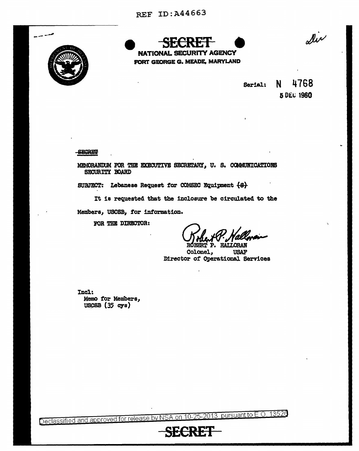

**NATIONAL SECURITY AGENCY** FORT GEORGE G. MEADE, MARYLAND

dir

4768 N. Serial: 5 DEC 1960

**SECRET!** 

MEMORANDUM FOR THE EXECUTIVE SECRETARY, U. S. COMMUNICATIONS SECURITY BOARD

SUBJECT: Lebanese Request for COMSEC Equipment (8)

It is requested that the inclosure be circulated to the

Members, USCSB, for information.

FOR THE DIRECTOR:

ROBERT P. HAI

Colonel, **USAF** Director of Operational Services

Incl: Memo for Members,  $USCBB (35 cys)$ 

Declassified and approved for release by NSA on 10-25-2013 pursuant to E.O. 13526

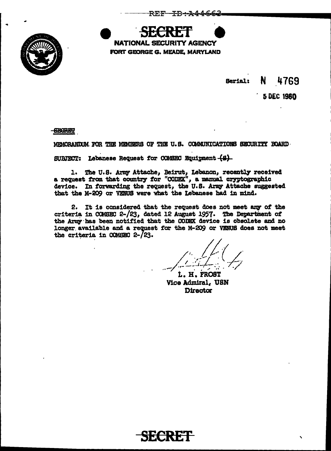

era **NATIONAL SECURITY AGENCY** FORT GEORGE G. MEADE, MARYLAND

> N. Serial: 4769

> > 5 DEC 1960

**-SECRET** 

MEMORANDUM FOR THE MEMBERS OF THE U.S. COMMUNICATIONS SECURITY BOARD.

SUBJECT: Lebanese Request for COMSEC Equipment (S)

1. The U.S. Army Attache, Beirut, Lebanon, recently received<br>a request from that country for "CODEX", a manual cryptographic device. In forwarding the request, the U.S. Army Attache suggested that the M-209 or VENUS were what the Lebanese had in mind.

2. It is considered that the request does not meet any of the criteria in COMSEC 2-/23, dated 12 August 1957. The Department of the Army has been notified that the CODEX device is obsolete and no longer available and a request for the M-209 or VENUS does not meet the criteria in COMSEC 2-/23.

L. H. FROST **Vice Admiral, USN Director**